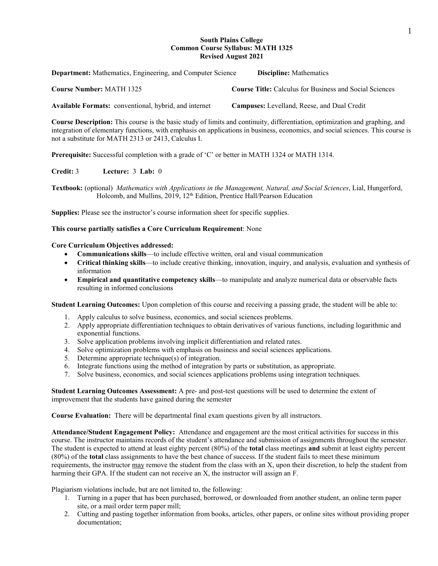### **South Plains College Common Course Syllabus: MATH 1325 Revised August 2021**

| <b>Department:</b> Mathematics, Engineering, and Computer Science | <b>Discipline:</b> Mathematics                                 |
|-------------------------------------------------------------------|----------------------------------------------------------------|
| <b>Course Number: MATH 1325</b>                                   | <b>Course Title:</b> Calculus for Business and Social Sciences |
| Available Formats: conventional, hybrid, and internet             | <b>Campuses:</b> Levelland, Reese, and Dual Credit             |

**Course Description:** This course is the basic study of limits and continuity, differentiation, optimization and graphing, and integration of elementary functions, with emphasis on applications in business, economics, and social sciences. This course is not a substitute for MATH 2313 or 2413, Calculus I.

**Prerequisite:** Successful completion with a grade of 'C' or better in MATH 1324 or MATH 1314.

# **Credit:** 3 **Lecture:** 3 **Lab:** 0

**Textbook:** (optional) *Mathematics with Applications in the Management, Natural, and Social Sciences*, Lial, Hungerford, Holcomb, and Mullins, 2019, 12<sup>th</sup> Edition, Prentice Hall/Pearson Education

**Supplies:** Please see the instructor's course information sheet for specific supplies.

### **This course partially satisfies a Core Curriculum Requirement**: None

### **Core Curriculum Objectives addressed:**

- **Communications skills**—to include effective written, oral and visual communication
- **Critical thinking skills**—to include creative thinking, innovation, inquiry, and analysis, evaluation and synthesis of information
- **Empirical and quantitative competency skills**—to manipulate and analyze numerical data or observable facts resulting in informed conclusions

**Student Learning Outcomes:** Upon completion of this course and receiving a passing grade, the student will be able to:

- 1. Apply calculus to solve business, economics, and social sciences problems.
- 2. Apply appropriate differentiation techniques to obtain derivatives of various functions, including logarithmic and exponential functions.
- 3. Solve application problems involving implicit differentiation and related rates.
- 4. Solve optimization problems with emphasis on business and social sciences applications.
- 5. Determine appropriate technique(s) of integration.
- 6. Integrate functions using the method of integration by parts or substitution, as appropriate.
- 7. Solve business, economics, and social sciences applications problems using integration techniques.

**Student Learning Outcomes Assessment:** A pre- and post-test questions will be used to determine the extent of improvement that the students have gained during the semester

**Course Evaluation:** There will be departmental final exam questions given by all instructors.

**Attendance/Student Engagement Policy:** Attendance and engagement are the most critical activities for success in this course. The instructor maintains records of the student's attendance and submission of assignments throughout the semester. The student is expected to attend at least eighty percent (80%) of the **total** class meetings **and** submit at least eighty percent (80%) of the **total** class assignments to have the best chance of success. If the student fails to meet these minimum requirements, the instructor may remove the student from the class with an X, upon their discretion, to help the student from harming their GPA. If the student can not receive an X, the instructor will assign an F.

Plagiarism violations include, but are not limited to, the following:

- 1. Turning in a paper that has been purchased, borrowed, or downloaded from another student, an online term paper site, or a mail order term paper mill;
- 2. Cutting and pasting together information from books, articles, other papers, or online sites without providing proper documentation;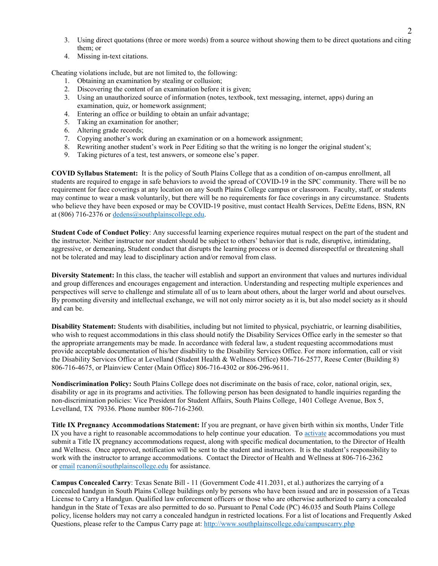- 3. Using direct quotations (three or more words) from a source without showing them to be direct quotations and citing them; or
- 4. Missing in-text citations.

Cheating violations include, but are not limited to, the following:

- 1. Obtaining an examination by stealing or collusion;
- 2. Discovering the content of an examination before it is given;
- 3. Using an unauthorized source of information (notes, textbook, text messaging, internet, apps) during an examination, quiz, or homework assignment;
- 4. Entering an office or building to obtain an unfair advantage;
- 5. Taking an examination for another;
- 6. Altering grade records;
- 7. Copying another's work during an examination or on a homework assignment;
- 8. Rewriting another student's work in Peer Editing so that the writing is no longer the original student's;
- 9. Taking pictures of a test, test answers, or someone else's paper.

**COVID Syllabus Statement:** It is the policy of South Plains College that as a condition of on-campus enrollment, all students are required to engage in safe behaviors to avoid the spread of COVID-19 in the SPC community. There will be no requirement for face coverings at any location on any South Plains College campus or classroom. Faculty, staff, or students may continue to wear a mask voluntarily, but there will be no requirements for face coverings in any circumstance. Students who believe they have been exposed or may be COVID-19 positive, must contact Health Services, DeEtte Edens, BSN, RN at (806) 716-2376 o[r dedens@southplainscollege.edu.](mailto:dedens@southplainscollege.edu)

**Student Code of Conduct Policy**: Any successful learning experience requires mutual respect on the part of the student and the instructor. Neither instructor nor student should be subject to others' behavior that is rude, disruptive, intimidating, aggressive, or demeaning**.** Student conduct that disrupts the learning process or is deemed disrespectful or threatening shall not be tolerated and may lead to disciplinary action and/or removal from class.

**Diversity Statement:** In this class, the teacher will establish and support an environment that values and nurtures individual and group differences and encourages engagement and interaction. Understanding and respecting multiple experiences and perspectives will serve to challenge and stimulate all of us to learn about others, about the larger world and about ourselves. By promoting diversity and intellectual exchange, we will not only mirror society as it is, but also model society as it should and can be.

**Disability Statement:** Students with disabilities, including but not limited to physical, psychiatric, or learning disabilities, who wish to request accommodations in this class should notify the Disability Services Office early in the semester so that the appropriate arrangements may be made. In accordance with federal law, a student requesting accommodations must provide acceptable documentation of his/her disability to the Disability Services Office. For more information, call or visit the Disability Services Office at Levelland (Student Health & Wellness Office) 806-716-2577, Reese Center (Building 8) 806-716-4675, or Plainview Center (Main Office) 806-716-4302 or 806-296-9611.

**Nondiscrimination Policy:** South Plains College does not discriminate on the basis of race, color, national origin, sex, disability or age in its programs and activities. The following person has been designated to handle inquiries regarding the non-discrimination policies: Vice President for Student Affairs, South Plains College, 1401 College Avenue, Box 5, Levelland, TX 79336. Phone number 806-716-2360.

**Title IX Pregnancy Accommodations Statement:** If you are pregnant, or have given birth within six months, Under Title IX you have a right to reasonable accommodations to help continue your education. To [activate](http://www.southplainscollege.edu/employees/manualshandbooks/facultyhandbook/sec4.php) accommodations you must submit a Title IX pregnancy accommodations request, along with specific medical documentation, to the Director of Health and Wellness. Once approved, notification will be sent to the student and instructors. It is the student's responsibility to work with the instructor to arrange accommodations. Contact the Director of Health and Wellness at 806-716-2362 or [email](http://www.southplainscollege.edu/employees/manualshandbooks/facultyhandbook/sec4.php) [rcanon@southplainscollege.edu](mailto:rcanon@southplainscollege.edu) for assistance.

**Campus Concealed Carry**: Texas Senate Bill - 11 (Government Code 411.2031, et al.) authorizes the carrying of a concealed handgun in South Plains College buildings only by persons who have been issued and are in possession of a Texas License to Carry a Handgun. Qualified law enforcement officers or those who are otherwise authorized to carry a concealed handgun in the State of Texas are also permitted to do so. Pursuant to Penal Code (PC) 46.035 and South Plains College policy, license holders may not carry a concealed handgun in restricted locations. For a list of locations and Frequently Asked Questions, please refer to the Campus Carry page at: <http://www.southplainscollege.edu/campuscarry.php>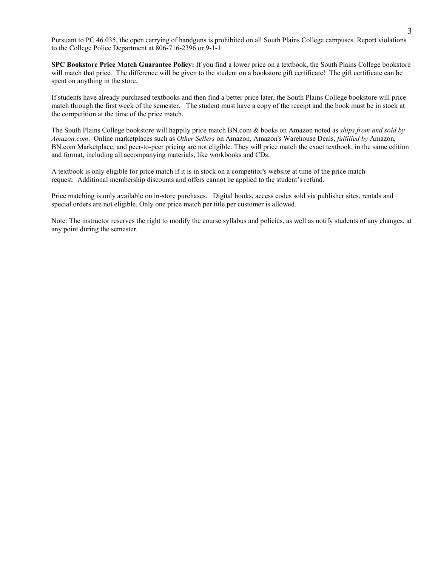Pursuant to PC 46.035, the open carrying of handguns is prohibited on all South Plains College campuses. Report violations to the College Police Department at 806-716-2396 or 9-1-1.

**SPC Bookstore Price Match Guarantee Policy:** If you find a lower price on a textbook, the South Plains College bookstore will match that price. The difference will be given to the student on a bookstore gift certificate! The gift certificate can be spent on anything in the store.

If students have already purchased textbooks and then find a better price later, the South Plains College bookstore will price match through the first week of the semester. The student must have a copy of the receipt and the book must be in stock at the competition at the time of the price match.

The South Plains College bookstore will happily price match BN.com & books on Amazon noted as *ships from and sold by Amazon.com*. Online marketplaces such as *Other Sellers* on Amazon, Amazon's Warehouse Deals, *fulfilled by* Amazon, BN.com Marketplace, and peer-to-peer pricing are not eligible. They will price match the exact textbook, in the same edition and format, including all accompanying materials, like workbooks and CDs.

A textbook is only eligible for price match if it is in stock on a competitor's website at time of the price match request. Additional membership discounts and offers cannot be applied to the student's refund.

Price matching is only available on in-store purchases. Digital books, access codes sold via publisher sites, rentals and special orders are not eligible. Only one price match per title per customer is allowed.

Note: The instructor reserves the right to modify the course syllabus and policies, as well as notify students of any changes, at any point during the semester.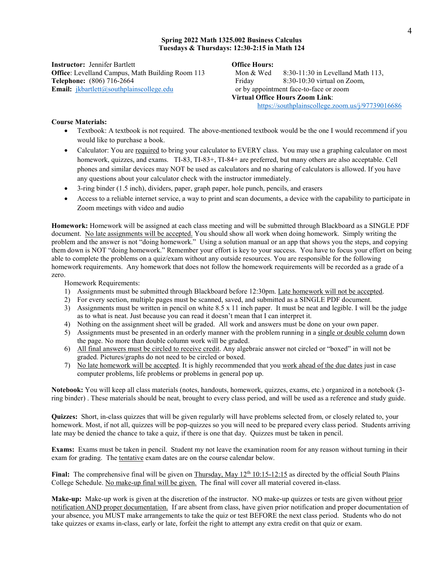#### **Spring 2022 Math 1325.002 Business Calculus Tuesdays & Thursdays: 12:30-2:15 in Math 124**

**Instructor:** Jennifer Bartlett **Office Hours: Office**: Levelland Campus, Math Building Room 113 Mon & Wed 8:30-11:30 in Levelland Math 113, **Telephone:** (806) 716-2664 **Friday** 8:30-10:30 virtual on Zoom, **Email:** *[jkbartlett@southplainscollege.edu](mailto:jkbartlett@southplainscollege.edu)* or by appointment face-to-face or zoom

**Virtual Office Hours Zoom Link**: <https://southplainscollege.zoom.us/j/97739016686>

## **Course Materials:**

- Textbook: A textbook is not required. The above-mentioned textbook would be the one I would recommend if you would like to purchase a book.
- Calculator: You are required to bring your calculator to EVERY class. You may use a graphing calculator on most homework, quizzes, and exams. TI-83, TI-83+, TI-84+ are preferred, but many others are also acceptable. Cell phones and similar devices may NOT be used as calculators and no sharing of calculators is allowed. If you have any questions about your calculator check with the instructor immediately.
- 3-ring binder (1.5 inch), dividers, paper, graph paper, hole punch, pencils, and erasers
- Access to a reliable internet service, a way to print and scan documents, a device with the capability to participate in Zoom meetings with video and audio

**Homework:** Homework will be assigned at each class meeting and will be submitted through Blackboard as a SINGLE PDF document. No late assignments will be accepted. You should show all work when doing homework. Simply writing the problem and the answer is not "doing homework." Using a solution manual or an app that shows you the steps, and copying them down is NOT "doing homework." Remember your effort is key to your success. You have to focus your effort on being able to complete the problems on a quiz/exam without any outside resources. You are responsible for the following homework requirements. Any homework that does not follow the homework requirements will be recorded as a grade of a zero.

Homework Requirements:

- 1) Assignments must be submitted through Blackboard before 12:30pm. Late homework will not be accepted.
- 2) For every section, multiple pages must be scanned, saved, and submitted as a SINGLE PDF document.
- 3) Assignments must be written in pencil on white 8.5 x 11 inch paper. It must be neat and legible. I will be the judge as to what is neat. Just because you can read it doesn't mean that I can interpret it.
- 4) Nothing on the assignment sheet will be graded. All work and answers must be done on your own paper.
- 5) Assignments must be presented in an orderly manner with the problem running in a single or double column down the page. No more than double column work will be graded.
- 6) All final answers must be circled to receive credit. Any algebraic answer not circled or "boxed" in will not be graded. Pictures/graphs do not need to be circled or boxed.
- 7) No late homework will be accepted. It is highly recommended that you work ahead of the due dates just in case computer problems, life problems or problems in general pop up.

**Notebook:** You will keep all class materials (notes, handouts, homework, quizzes, exams, etc.) organized in a notebook (3 ring binder) . These materials should be neat, brought to every class period, and will be used as a reference and study guide.

**Quizzes:** Short, in-class quizzes that will be given regularly will have problems selected from, or closely related to, your homework. Most, if not all, quizzes will be pop-quizzes so you will need to be prepared every class period. Students arriving late may be denied the chance to take a quiz, if there is one that day. Quizzes must be taken in pencil.

**Exams:** Exams must be taken in pencil. Student my not leave the examination room for any reason without turning in their exam for grading. The tentative exam dates are on the course calendar below.

**Final:** The comprehensive final will be given on Thursday, May  $12<sup>th</sup> 10:15-12:15$  as directed by the official South Plains College Schedule. No make-up final will be given. The final will cover all material covered in-class.

**Make-up:** Make-up work is given at the discretion of the instructor. NO make-up quizzes or tests are given without prior notification AND proper documentation. If are absent from class, have given prior notification and proper documentation of your absence, you MUST make arrangements to take the quiz or test BEFORE the next class period. Students who do not take quizzes or exams in-class, early or late, forfeit the right to attempt any extra credit on that quiz or exam.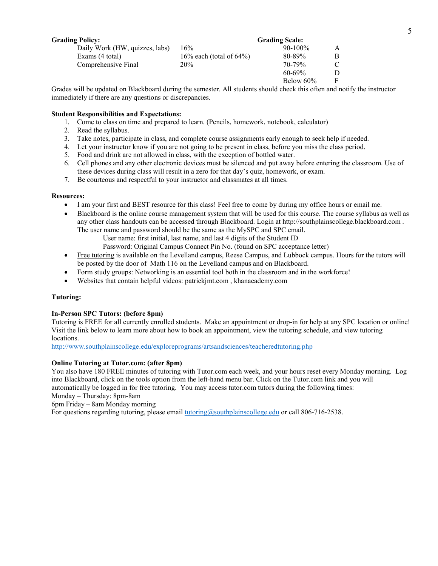| <b>Grading Policy:</b>         |                             | <b>Grading Scale:</b> |   |
|--------------------------------|-----------------------------|-----------------------|---|
| Daily Work (HW, quizzes, labs) | 16%                         | $90-100\%$            | A |
| Exams (4 total)                | 16% each (total of $64\%$ ) | 80-89%                | B |
| Comprehensive Final            | 20%                         | 70-79%                | C |
|                                |                             | $60 - 69\%$           | D |
|                                |                             | Below $60\%$          | F |

Grades will be updated on Blackboard during the semester. All students should check this often and notify the instructor immediately if there are any questions or discrepancies.

## **Student Responsibilities and Expectations:**

- 1. Come to class on time and prepared to learn. (Pencils, homework, notebook, calculator)
- 2. Read the syllabus.
- 3. Take notes, participate in class, and complete course assignments early enough to seek help if needed.
- 4. Let your instructor know if you are not going to be present in class, before you miss the class period.
- 5. Food and drink are not allowed in class, with the exception of bottled water.
- 6. Cell phones and any other electronic devices must be silenced and put away before entering the classroom. Use of these devices during class will result in a zero for that day's quiz, homework, or exam.
- 7. Be courteous and respectful to your instructor and classmates at all times.

### **Resources:**

- I am your first and BEST resource for this class! Feel free to come by during my office hours or email me.
- Blackboard is the online course management system that will be used for this course. The course syllabus as well as any other class handouts can be accessed through Blackboard. Login at http://southplainscollege.blackboard.com . The user name and password should be the same as the MySPC and SPC email.
	- User name: first initial, last name, and last 4 digits of the Student ID
	- Password: Original Campus Connect Pin No. (found on SPC acceptance letter)
- Free tutoring is available on the Levelland campus, Reese Campus, and Lubbock campus. Hours for the tutors will be posted by the door of Math 116 on the Levelland campus and on Blackboard.
- Form study groups: Networking is an essential tool both in the classroom and in the workforce!
- Websites that contain helpful videos: patrickjmt.com , khanacademy.com

## **Tutoring:**

## **In-Person SPC Tutors: (before 8pm)**

Tutoring is FREE for all currently enrolled students. Make an appointment or drop-in for help at any SPC location or online! Visit the link below to learn more about how to book an appointment, view the tutoring schedule, and view tutoring locations.

<http://www.southplainscollege.edu/exploreprograms/artsandsciences/teacheredtutoring.php>

## **Online Tutoring at Tutor.com: (after 8pm)**

You also have 180 FREE minutes of tutoring with Tutor.com each week, and your hours reset every Monday morning. Log into Blackboard, click on the tools option from the left-hand menu bar. Click on the Tutor.com link and you will automatically be logged in for free tutoring. You may access tutor.com tutors during the following times:

Monday – Thursday: 8pm-8am

6pm Friday – 8am Monday morning

For questions regarding tutoring, please email **tutoring@southplainscollege.edu** or call 806-716-2538.